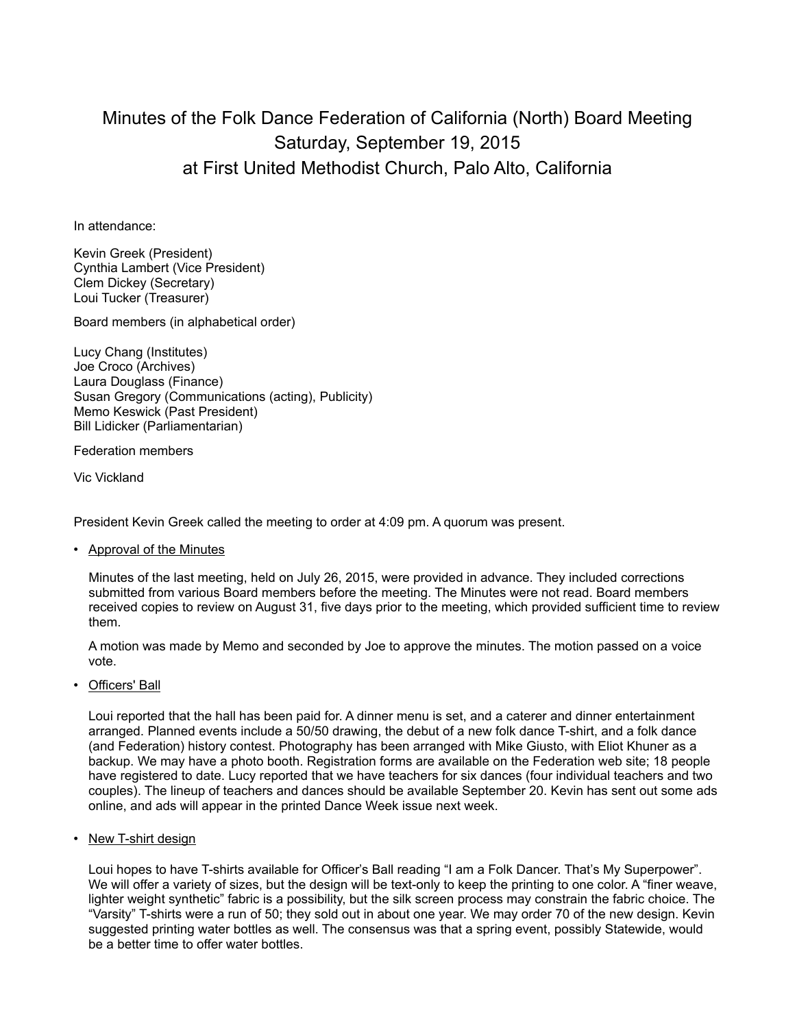## Minutes of the Folk Dance Federation of California (North) Board Meeting Saturday, September 19, 2015 at First United Methodist Church, Palo Alto, California

In attendance:

Kevin Greek (President) Cynthia Lambert (Vice President) Clem Dickey (Secretary) Loui Tucker (Treasurer)

Board members (in alphabetical order)

Lucy Chang (Institutes) Joe Croco (Archives) Laura Douglass (Finance) Susan Gregory (Communications (acting), Publicity) Memo Keswick (Past President) Bill Lidicker (Parliamentarian)

Federation members

Vic Vickland

President Kevin Greek called the meeting to order at 4:09 pm. A quorum was present.

• Approval of the Minutes

Minutes of the last meeting, held on July 26, 2015, were provided in advance. They included corrections submitted from various Board members before the meeting. The Minutes were not read. Board members received copies to review on August 31, five days prior to the meeting, which provided sufficient time to review them.

A motion was made by Memo and seconded by Joe to approve the minutes. The motion passed on a voice vote.

• Officers' Ball

Loui reported that the hall has been paid for. A dinner menu is set, and a caterer and dinner entertainment arranged. Planned events include a 50/50 drawing, the debut of a new folk dance T-shirt, and a folk dance (and Federation) history contest. Photography has been arranged with Mike Giusto, with Eliot Khuner as a backup. We may have a photo booth. Registration forms are available on the Federation web site; 18 people have registered to date. Lucy reported that we have teachers for six dances (four individual teachers and two couples). The lineup of teachers and dances should be available September 20. Kevin has sent out some ads online, and ads will appear in the printed Dance Week issue next week.

• New T-shirt design

Loui hopes to have T-shirts available for Officer's Ball reading "I am a Folk Dancer. That's My Superpower". We will offer a variety of sizes, but the design will be text-only to keep the printing to one color. A "finer weave, lighter weight synthetic" fabric is a possibility, but the silk screen process may constrain the fabric choice. The "Varsity" T-shirts were a run of 50; they sold out in about one year. We may order 70 of the new design. Kevin suggested printing water bottles as well. The consensus was that a spring event, possibly Statewide, would be a better time to offer water bottles.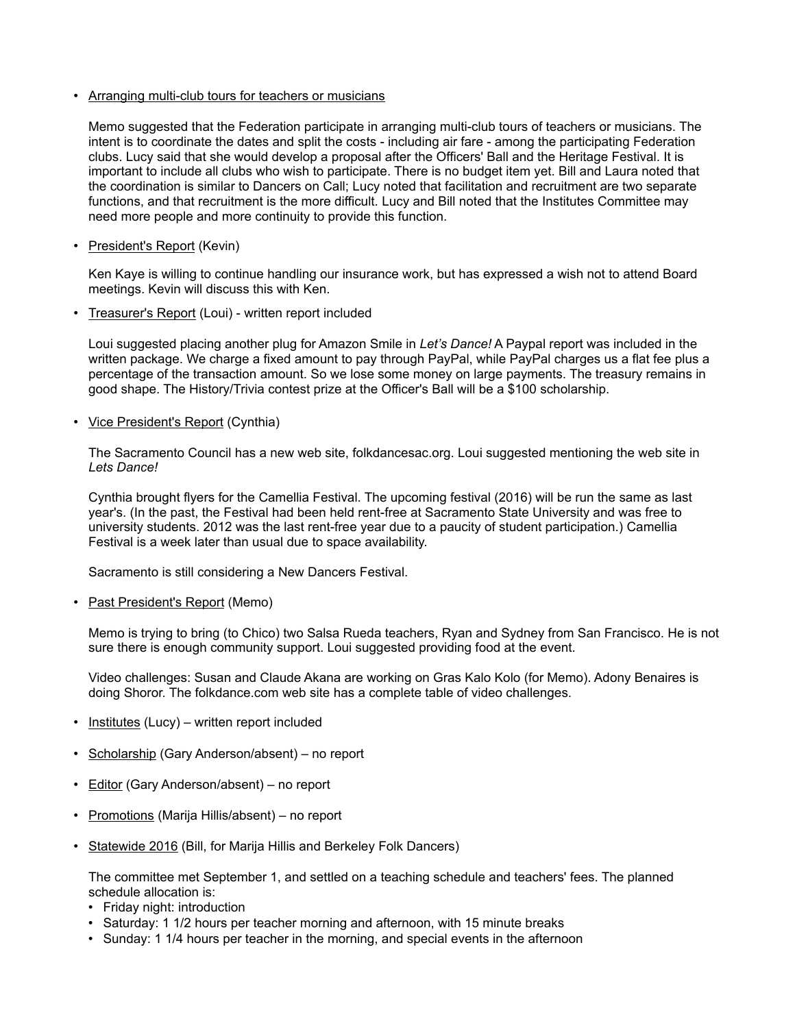• Arranging multi-club tours for teachers or musicians

Memo suggested that the Federation participate in arranging multi-club tours of teachers or musicians. The intent is to coordinate the dates and split the costs - including air fare - among the participating Federation clubs. Lucy said that she would develop a proposal after the Officers' Ball and the Heritage Festival. It is important to include all clubs who wish to participate. There is no budget item yet. Bill and Laura noted that the coordination is similar to Dancers on Call; Lucy noted that facilitation and recruitment are two separate functions, and that recruitment is the more difficult. Lucy and Bill noted that the Institutes Committee may need more people and more continuity to provide this function.

• President's Report (Kevin)

Ken Kaye is willing to continue handling our insurance work, but has expressed a wish not to attend Board meetings. Kevin will discuss this with Ken.

• Treasurer's Report (Loui) - written report included

Loui suggested placing another plug for Amazon Smile in *Let's Dance!* A Paypal report was included in the written package. We charge a fixed amount to pay through PayPal, while PayPal charges us a flat fee plus a percentage of the transaction amount. So we lose some money on large payments. The treasury remains in good shape. The History/Trivia contest prize at the Officer's Ball will be a \$100 scholarship.

• Vice President's Report (Cynthia)

The Sacramento Council has a new web site, folkdancesac.org. Loui suggested mentioning the web site in *Lets Dance!*

Cynthia brought flyers for the Camellia Festival. The upcoming festival (2016) will be run the same as last year's. (In the past, the Festival had been held rent-free at Sacramento State University and was free to university students. 2012 was the last rent-free year due to a paucity of student participation.) Camellia Festival is a week later than usual due to space availability.

Sacramento is still considering a New Dancers Festival.

• Past President's Report (Memo)

Memo is trying to bring (to Chico) two Salsa Rueda teachers, Ryan and Sydney from San Francisco. He is not sure there is enough community support. Loui suggested providing food at the event.

Video challenges: Susan and Claude Akana are working on Gras Kalo Kolo (for Memo). Adony Benaires is doing Shoror. The folkdance.com web site has a complete table of video challenges.

- Institutes (Lucy) written report included
- Scholarship (Gary Anderson/absent) no report
- Editor (Gary Anderson/absent) no report
- Promotions (Marija Hillis/absent) no report
- Statewide 2016 (Bill, for Marija Hillis and Berkeley Folk Dancers)

The committee met September 1, and settled on a teaching schedule and teachers' fees. The planned schedule allocation is:

- Friday night: introduction
- Saturday: 1 1/2 hours per teacher morning and afternoon, with 15 minute breaks
- Sunday: 1 1/4 hours per teacher in the morning, and special events in the afternoon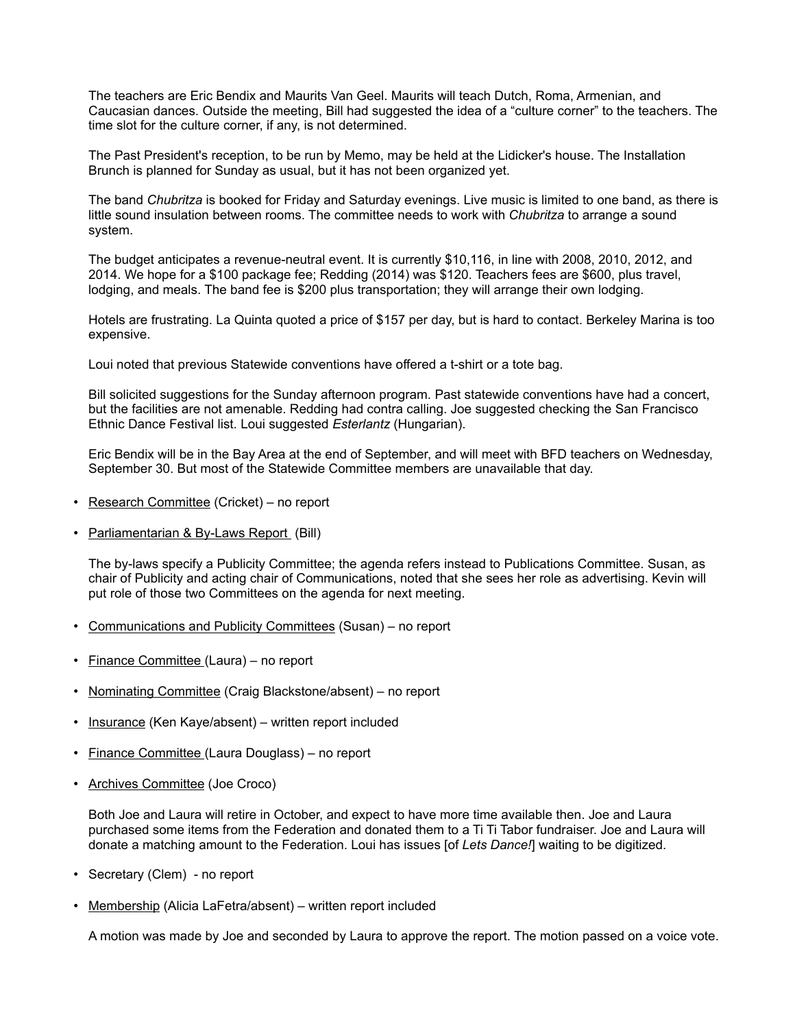The teachers are Eric Bendix and Maurits Van Geel. Maurits will teach Dutch, Roma, Armenian, and Caucasian dances. Outside the meeting, Bill had suggested the idea of a "culture corner" to the teachers. The time slot for the culture corner, if any, is not determined.

The Past President's reception, to be run by Memo, may be held at the Lidicker's house. The Installation Brunch is planned for Sunday as usual, but it has not been organized yet.

The band *Chubritza* is booked for Friday and Saturday evenings. Live music is limited to one band, as there is little sound insulation between rooms. The committee needs to work with *Chubritza* to arrange a sound system.

The budget anticipates a revenue-neutral event. It is currently \$10,116, in line with 2008, 2010, 2012, and 2014. We hope for a \$100 package fee; Redding (2014) was \$120. Teachers fees are \$600, plus travel, lodging, and meals. The band fee is \$200 plus transportation; they will arrange their own lodging.

Hotels are frustrating. La Quinta quoted a price of \$157 per day, but is hard to contact. Berkeley Marina is too expensive.

Loui noted that previous Statewide conventions have offered a t-shirt or a tote bag.

Bill solicited suggestions for the Sunday afternoon program. Past statewide conventions have had a concert, but the facilities are not amenable. Redding had contra calling. Joe suggested checking the San Francisco Ethnic Dance Festival list. Loui suggested *Esterlantz* (Hungarian).

Eric Bendix will be in the Bay Area at the end of September, and will meet with BFD teachers on Wednesday, September 30. But most of the Statewide Committee members are unavailable that day.

- Research Committee (Cricket) no report
- Parliamentarian & By-Laws Report (Bill)

The by-laws specify a Publicity Committee; the agenda refers instead to Publications Committee. Susan, as chair of Publicity and acting chair of Communications, noted that she sees her role as advertising. Kevin will put role of those two Committees on the agenda for next meeting.

- Communications and Publicity Committees (Susan) no report
- Finance Committee (Laura) no report
- Nominating Committee (Craig Blackstone/absent) no report
- Insurance (Ken Kaye/absent) written report included
- Finance Committee (Laura Douglass) no report
- Archives Committee (Joe Croco)

Both Joe and Laura will retire in October, and expect to have more time available then. Joe and Laura purchased some items from the Federation and donated them to a Ti Ti Tabor fundraiser. Joe and Laura will donate a matching amount to the Federation. Loui has issues [of *Lets Dance!*] waiting to be digitized.

- Secretary (Clem) no report
- Membership (Alicia LaFetra/absent) written report included

A motion was made by Joe and seconded by Laura to approve the report. The motion passed on a voice vote.